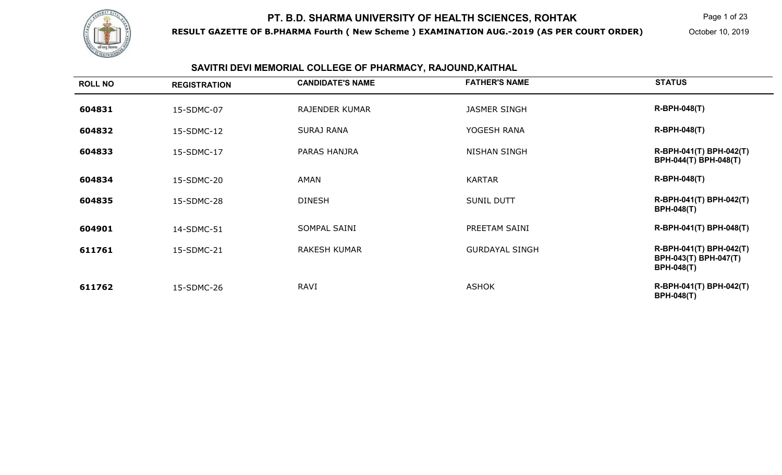

**RESULT GAZETTE OF B.PHARMA Fourth ( New Scheme ) EXAMINATION AUG.-2019 (AS PER COURT ORDER)**

Page 1 of 23

October 10, 2019

# **SAVITRI DEVI MEMORIAL COLLEGE OF PHARMACY, RAJOUND,KAITHAL**

| <b>ROLL NO</b> | <b>REGISTRATION</b> | <b>CANDIDATE'S NAME</b> | <b>FATHER'S NAME</b>  | <b>STATUS</b>                                                                |
|----------------|---------------------|-------------------------|-----------------------|------------------------------------------------------------------------------|
| 604831         | 15-SDMC-07          | <b>RAJENDER KUMAR</b>   | <b>JASMER SINGH</b>   | <b>R-BPH-048(T)</b>                                                          |
| 604832         | 15-SDMC-12          | <b>SURAJ RANA</b>       | YOGESH RANA           | <b>R-BPH-048(T)</b>                                                          |
| 604833         | 15-SDMC-17          | PARAS HANJRA            | <b>NISHAN SINGH</b>   | R-BPH-041(T) BPH-042(T)<br>BPH-044(T) BPH-048(T)                             |
| 604834         | 15-SDMC-20          | <b>AMAN</b>             | <b>KARTAR</b>         | <b>R-BPH-048(T)</b>                                                          |
| 604835         | 15-SDMC-28          | <b>DINESH</b>           | <b>SUNIL DUTT</b>     | R-BPH-041(T) BPH-042(T)<br><b>BPH-048(T)</b>                                 |
| 604901         | 14-SDMC-51          | SOMPAL SAINI            | PREETAM SAINI         | R-BPH-041(T) BPH-048(T)                                                      |
| 611761         | 15-SDMC-21          | <b>RAKESH KUMAR</b>     | <b>GURDAYAL SINGH</b> | R-BPH-041(T) BPH-042(T)<br><b>BPH-043(T) BPH-047(T)</b><br><b>BPH-048(T)</b> |
| 611762         | 15-SDMC-26          | <b>RAVI</b>             | <b>ASHOK</b>          | R-BPH-041(T) BPH-042(T)<br><b>BPH-048(T)</b>                                 |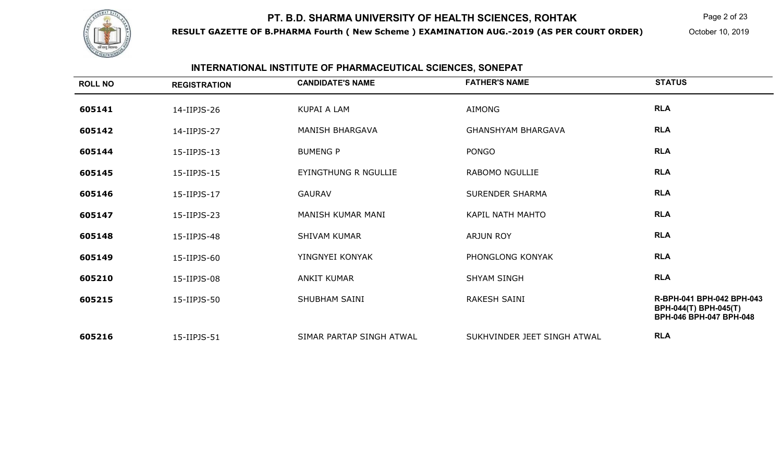

**RESULT GAZETTE OF B.PHARMA Fourth ( New Scheme ) EXAMINATION AUG.-2019 (AS PER COURT ORDER)**

Page 2 of 23

October 10, 2019

#### **INTERNATIONAL INSTITUTE OF PHARMACEUTICAL SCIENCES, SONEPAT**

| <b>ROLL NO</b> | <b>REGISTRATION</b> | <b>CANDIDATE'S NAME</b>  | <b>FATHER'S NAME</b>        | <b>STATUS</b>                                                                 |
|----------------|---------------------|--------------------------|-----------------------------|-------------------------------------------------------------------------------|
| 605141         | 14-IIPJS-26         | <b>KUPAI A LAM</b>       | AIMONG                      | <b>RLA</b>                                                                    |
| 605142         | 14-IIPJS-27         | MANISH BHARGAVA          | <b>GHANSHYAM BHARGAVA</b>   | <b>RLA</b>                                                                    |
| 605144         | 15-IIPJS-13         | <b>BUMENG P</b>          | <b>PONGO</b>                | <b>RLA</b>                                                                    |
| 605145         | 15-IIPJS-15         | EYINGTHUNG R NGULLIE     | RABOMO NGULLIE              | <b>RLA</b>                                                                    |
| 605146         | 15-IIPJS-17         | <b>GAURAV</b>            | <b>SURENDER SHARMA</b>      | <b>RLA</b>                                                                    |
| 605147         | 15-IIPJS-23         | MANISH KUMAR MANI        | <b>KAPIL NATH MAHTO</b>     | <b>RLA</b>                                                                    |
| 605148         | 15-IIPJS-48         | <b>SHIVAM KUMAR</b>      | <b>ARJUN ROY</b>            | <b>RLA</b>                                                                    |
| 605149         | 15-IIPJS-60         | YINGNYEI KONYAK          | PHONGLONG KONYAK            | <b>RLA</b>                                                                    |
| 605210         | 15-IIPJS-08         | <b>ANKIT KUMAR</b>       | <b>SHYAM SINGH</b>          | <b>RLA</b>                                                                    |
| 605215         | 15-IIPJS-50         | <b>SHUBHAM SAINI</b>     | RAKESH SAINI                | R-BPH-041 BPH-042 BPH-043<br>BPH-044(T) BPH-045(T)<br>BPH-046 BPH-047 BPH-048 |
| 605216         | 15-IIPJS-51         | SIMAR PARTAP SINGH ATWAL | SUKHVINDER JEET SINGH ATWAL | <b>RLA</b>                                                                    |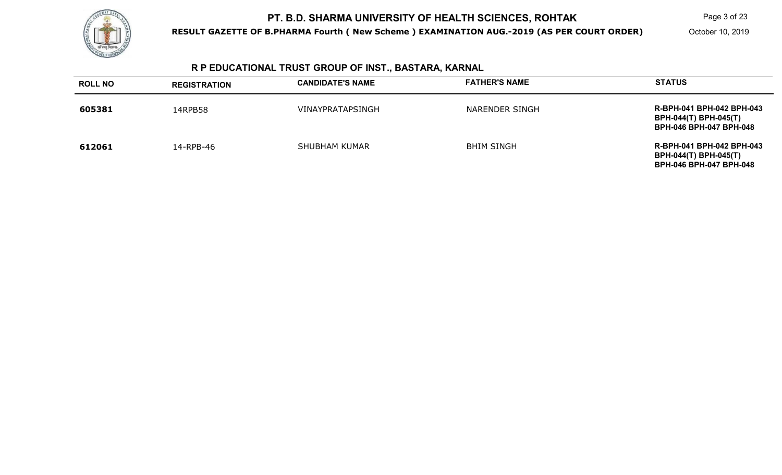

**RESULT GAZETTE OF B.PHARMA Fourth ( New Scheme ) EXAMINATION AUG.-2019 (AS PER COURT ORDER)**

Page 3 of 23

October 10, 2019

# **R P EDUCATIONAL TRUST GROUP OF INST., BASTARA, KARNAL**

| <b>ROLL NO</b> | <b>REGISTRATION</b> | <b>CANDIDATE'S NAME</b> | <b>FATHER'S NAME</b> | <b>STATUS</b>                                                                               |
|----------------|---------------------|-------------------------|----------------------|---------------------------------------------------------------------------------------------|
| 605381         | 14RPB58             | VINAYPRATAPSINGH        | NARENDER SINGH       | R-BPH-041 BPH-042 BPH-043<br><b>BPH-044(T) BPH-045(T)</b><br><b>BPH-046 BPH-047 BPH-048</b> |
| 612061         | 14-RPB-46           | <b>SHUBHAM KUMAR</b>    | <b>BHIM SINGH</b>    | R-BPH-041 BPH-042 BPH-043<br><b>BPH-044(T) BPH-045(T)</b><br><b>BPH-046 BPH-047 BPH-048</b> |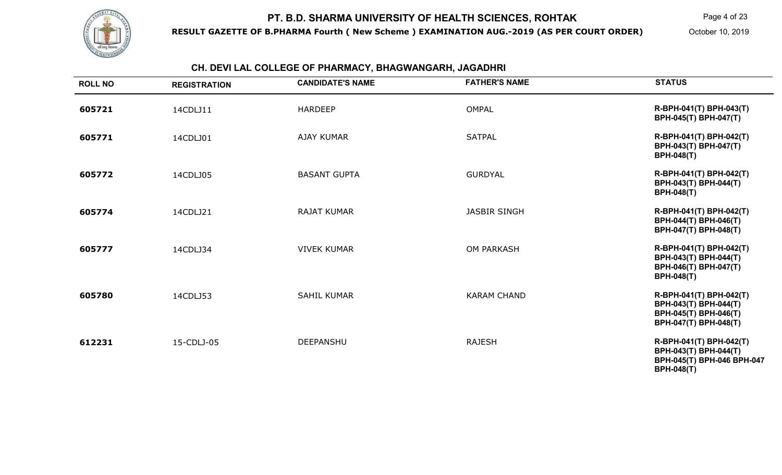

**RESULT GAZETTE OF B.PHARMA Fourth ( New Scheme ) EXAMINATION AUG.-2019 (AS PER COURT ORDER)**

Page 4 of 23

October 10, 2019

#### **CH. DEVI LAL COLLEGE OF PHARMACY, BHAGWANGARH, JAGADHRI**

| <b>ROLL NO</b> | <b>REGISTRATION</b> | <b>CANDIDATE'S NAME</b> | <b>FATHER'S NAME</b> | <b>STATUS</b>                                                                                       |
|----------------|---------------------|-------------------------|----------------------|-----------------------------------------------------------------------------------------------------|
| 605721         | 14CDLJ11            | <b>HARDEEP</b>          | <b>OMPAL</b>         | R-BPH-041(T) BPH-043(T)<br>BPH-045(T) BPH-047(T)                                                    |
| 605771         | 14CDLJ01            | <b>AJAY KUMAR</b>       | <b>SATPAL</b>        | R-BPH-041(T) BPH-042(T)<br>BPH-043(T) BPH-047(T)<br><b>BPH-048(T)</b>                               |
| 605772         | 14CDLJ05            | <b>BASANT GUPTA</b>     | <b>GURDYAL</b>       | R-BPH-041(T) BPH-042(T)<br>BPH-043(T) BPH-044(T)<br><b>BPH-048(T)</b>                               |
| 605774         | 14CDLJ21            | <b>RAJAT KUMAR</b>      | <b>JASBIR SINGH</b>  | R-BPH-041(T) BPH-042(T)<br>BPH-044(T) BPH-046(T)<br>BPH-047(T) BPH-048(T)                           |
| 605777         | 14CDLJ34            | <b>VIVEK KUMAR</b>      | <b>OM PARKASH</b>    | R-BPH-041(T) BPH-042(T)<br>BPH-043(T) BPH-044(T)<br>BPH-046(T) BPH-047(T)<br><b>BPH-048(T)</b>      |
| 605780         | 14CDLJ53            | <b>SAHIL KUMAR</b>      | <b>KARAM CHAND</b>   | R-BPH-041(T) BPH-042(T)<br>BPH-043(T) BPH-044(T)<br>BPH-045(T) BPH-046(T)<br>BPH-047(T) BPH-048(T)  |
| 612231         | 15-CDLJ-05          | <b>DEEPANSHU</b>        | <b>RAJESH</b>        | R-BPH-041(T) BPH-042(T)<br>BPH-043(T) BPH-044(T)<br>BPH-045(T) BPH-046 BPH-047<br><b>BPH-048(T)</b> |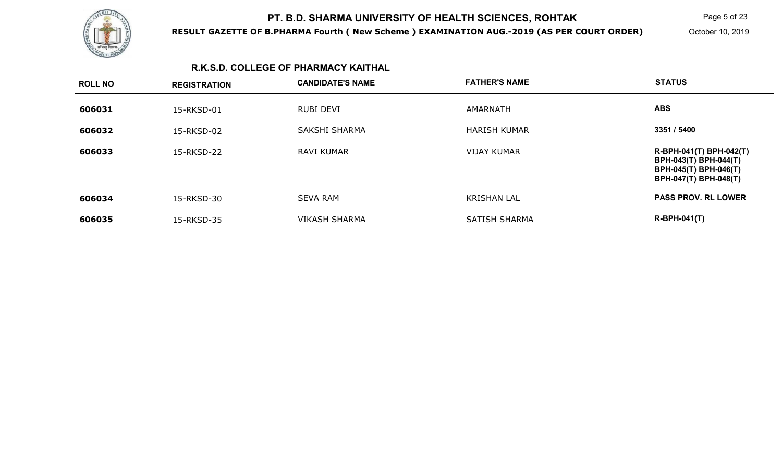

**RESULT GAZETTE OF B.PHARMA Fourth ( New Scheme ) EXAMINATION AUG.-2019 (AS PER COURT ORDER)**

Page 5 of 23

October 10, 2019

#### **R.K.S.D. COLLEGE OF PHARMACY KAITHAL**

| <b>ROLL NO</b> | <b>REGISTRATION</b> | <b>CANDIDATE'S NAME</b> | <b>FATHER'S NAME</b> | <b>STATUS</b>                                                                                      |
|----------------|---------------------|-------------------------|----------------------|----------------------------------------------------------------------------------------------------|
| 606031         | 15-RKSD-01          | <b>RUBI DEVI</b>        | AMARNATH             | <b>ABS</b>                                                                                         |
| 606032         | 15-RKSD-02          | <b>SAKSHI SHARMA</b>    | <b>HARISH KUMAR</b>  | 3351 / 5400                                                                                        |
| 606033         | 15-RKSD-22          | <b>RAVI KUMAR</b>       | <b>VIJAY KUMAR</b>   | R-BPH-041(T) BPH-042(T)<br>BPH-043(T) BPH-044(T)<br>BPH-045(T) BPH-046(T)<br>BPH-047(T) BPH-048(T) |
| 606034         | 15-RKSD-30          | <b>SEVA RAM</b>         | <b>KRISHAN LAL</b>   | <b>PASS PROV. RL LOWER</b>                                                                         |
| 606035         | 15-RKSD-35          | <b>VIKASH SHARMA</b>    | <b>SATISH SHARMA</b> | $R-BPH-041(T)$                                                                                     |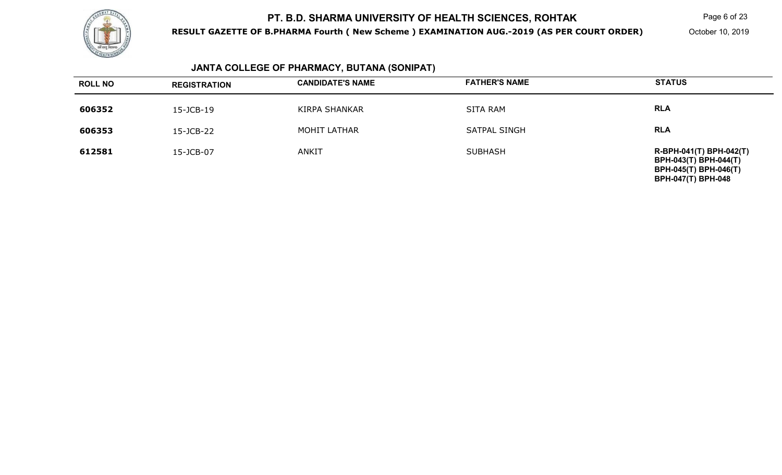

**RESULT GAZETTE OF B.PHARMA Fourth ( New Scheme ) EXAMINATION AUG.-2019 (AS PER COURT ORDER)**

Page 6 of 23

October 10, 2019

# **JANTA COLLEGE OF PHARMACY, BUTANA (SONIPAT)**

| <b>ROLL NO</b> | <b>REGISTRATION</b> | <b>CANDIDATE'S NAME</b> | <b>FATHER'S NAME</b> | <b>STATUS</b>                                                                                                 |
|----------------|---------------------|-------------------------|----------------------|---------------------------------------------------------------------------------------------------------------|
| 606352         | 15-JCB-19           | <b>KIRPA SHANKAR</b>    | <b>SITA RAM</b>      | <b>RLA</b>                                                                                                    |
| 606353         | 15-JCB-22           | <b>MOHIT LATHAR</b>     | <b>SATPAL SINGH</b>  | <b>RLA</b>                                                                                                    |
| 612581         | 15-JCB-07           | <b>ANKIT</b>            | <b>SUBHASH</b>       | R-BPH-041(T) BPH-042(T)<br>BPH-043(T) BPH-044(T)<br><b>BPH-045(T) BPH-046(T)</b><br><b>BPH-047(T) BPH-048</b> |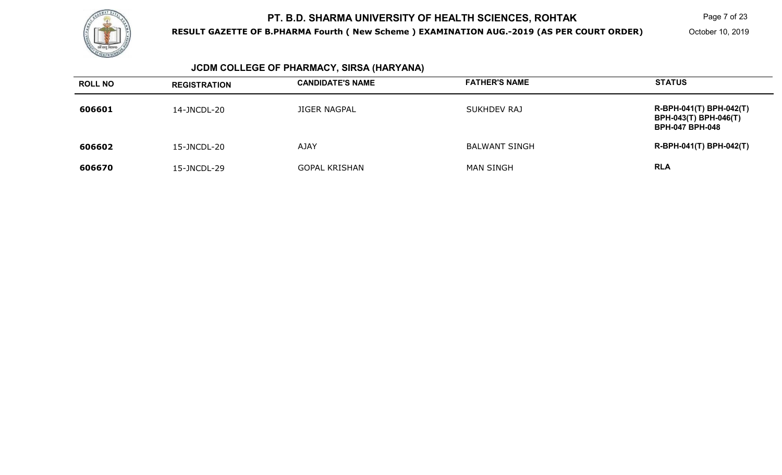

**RESULT GAZETTE OF B.PHARMA Fourth ( New Scheme ) EXAMINATION AUG.-2019 (AS PER COURT ORDER)**

Page 7 of 23

October 10, 2019

# **JCDM COLLEGE OF PHARMACY, SIRSA (HARYANA)**

| <b>ROLL NO</b> | <b>REGISTRATION</b> | <b>CANDIDATE'S NAME</b> | <b>FATHER'S NAME</b> | <b>STATUS</b>                                                                     |
|----------------|---------------------|-------------------------|----------------------|-----------------------------------------------------------------------------------|
| 606601         | 14-JNCDL-20         | JIGER NAGPAL            | <b>SUKHDEV RAJ</b>   | R-BPH-041(T) BPH-042(T)<br><b>BPH-043(T) BPH-046(T)</b><br><b>BPH-047 BPH-048</b> |
| 606602         | 15-JNCDL-20         | <b>AJAY</b>             | <b>BALWANT SINGH</b> | R-BPH-041(T) BPH-042(T)                                                           |
| 606670         | 15-JNCDL-29         | <b>GOPAL KRISHAN</b>    | <b>MAN SINGH</b>     | <b>RLA</b>                                                                        |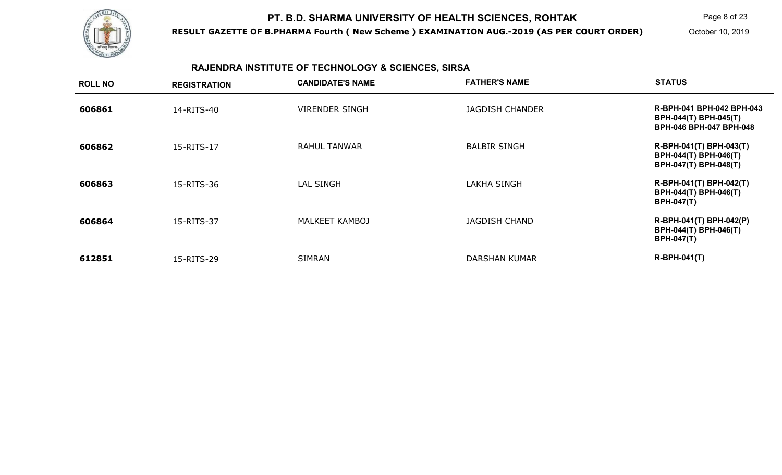

**RESULT GAZETTE OF B.PHARMA Fourth ( New Scheme ) EXAMINATION AUG.-2019 (AS PER COURT ORDER)**

Page 8 of 23

October 10, 2019

# **RAJENDRA INSTITUTE OF TECHNOLOGY & SCIENCES, SIRSA**

| <b>ROLL NO</b> | <b>REGISTRATION</b> | <b>CANDIDATE'S NAME</b> | <b>FATHER'S NAME</b>   | <b>STATUS</b>                                                                        |
|----------------|---------------------|-------------------------|------------------------|--------------------------------------------------------------------------------------|
| 606861         | 14-RITS-40          | <b>VIRENDER SINGH</b>   | <b>JAGDISH CHANDER</b> | R-BPH-041 BPH-042 BPH-043<br>BPH-044(T) BPH-045(T)<br><b>BPH-046 BPH-047 BPH-048</b> |
| 606862         | 15-RITS-17          | RAHUL TANWAR            | <b>BALBIR SINGH</b>    | R-BPH-041(T) BPH-043(T)<br>BPH-044(T) BPH-046(T)<br>BPH-047(T) BPH-048(T)            |
| 606863         | 15-RITS-36          | <b>LAL SINGH</b>        | <b>LAKHA SINGH</b>     | R-BPH-041(T) BPH-042(T)<br>BPH-044(T) BPH-046(T)<br><b>BPH-047(T)</b>                |
| 606864         | 15-RITS-37          | MALKEET KAMBOJ          | <b>JAGDISH CHAND</b>   | R-BPH-041(T) BPH-042(P)<br><b>BPH-044(T) BPH-046(T)</b><br><b>BPH-047(T)</b>         |
| 612851         | 15-RITS-29          | <b>SIMRAN</b>           | DARSHAN KUMAR          | $R-BPH-041(T)$                                                                       |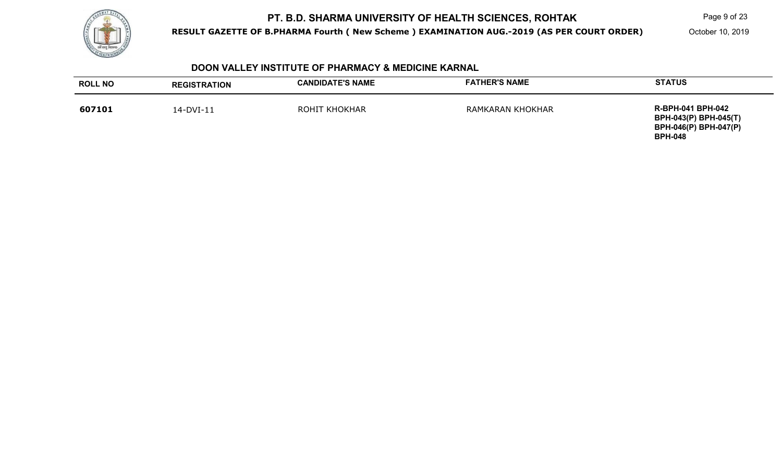

**RESULT GAZETTE OF B.PHARMA Fourth ( New Scheme ) EXAMINATION AUG.-2019 (AS PER COURT ORDER)**

Page 9 of 23

October 10, 2019

#### **DOON VALLEY INSTITUTE OF PHARMACY & MEDICINE KARNAL**

| <b>ROLL NO</b> | <b>REGISTRATION</b> | <b>CANDIDATE'S NAME</b> | <b>FATHER'S NAME</b> | <b>STATUS</b>                                                                                              |
|----------------|---------------------|-------------------------|----------------------|------------------------------------------------------------------------------------------------------------|
| 607101         | 14-DVI-11           | <b>ROHIT KHOKHAR</b>    | RAMKARAN KHOKHAR     | <b>R-BPH-041 BPH-042</b><br><b>BPH-043(P) BPH-045(T)</b><br><b>BPH-046(P) BPH-047(P)</b><br><b>BPH-048</b> |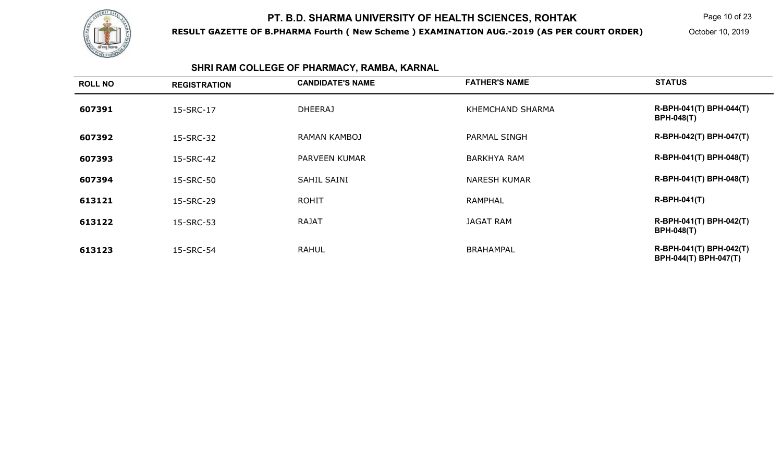

**RESULT GAZETTE OF B.PHARMA Fourth ( New Scheme ) EXAMINATION AUG.-2019 (AS PER COURT ORDER)**

Page 10 of 23

October 10, 2019

# **SHRI RAM COLLEGE OF PHARMACY, RAMBA, KARNAL**

| <b>ROLL NO</b> | <b>REGISTRATION</b> | <b>CANDIDATE'S NAME</b> | <b>FATHER'S NAME</b> | <b>STATUS</b>                                    |
|----------------|---------------------|-------------------------|----------------------|--------------------------------------------------|
| 607391         | 15-SRC-17           | <b>DHEERAJ</b>          | KHEMCHAND SHARMA     | R-BPH-041(T) BPH-044(T)<br><b>BPH-048(T)</b>     |
| 607392         | 15-SRC-32           | RAMAN KAMBOJ            | PARMAL SINGH         | R-BPH-042(T) BPH-047(T)                          |
| 607393         | 15-SRC-42           | PARVEEN KUMAR           | <b>BARKHYA RAM</b>   | R-BPH-041(T) BPH-048(T)                          |
| 607394         | 15-SRC-50           | SAHIL SAINI             | <b>NARESH KUMAR</b>  | R-BPH-041(T) BPH-048(T)                          |
| 613121         | 15-SRC-29           | <b>ROHIT</b>            | <b>RAMPHAL</b>       | $R-BPH-041(T)$                                   |
| 613122         | 15-SRC-53           | <b>RAJAT</b>            | <b>JAGAT RAM</b>     | R-BPH-041(T) BPH-042(T)<br><b>BPH-048(T)</b>     |
| 613123         | 15-SRC-54           | <b>RAHUL</b>            | <b>BRAHAMPAL</b>     | R-BPH-041(T) BPH-042(T)<br>BPH-044(T) BPH-047(T) |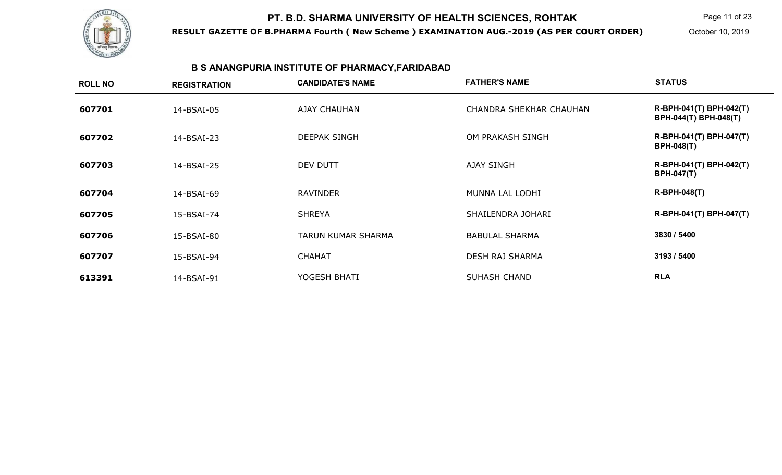

**RESULT GAZETTE OF B.PHARMA Fourth ( New Scheme ) EXAMINATION AUG.-2019 (AS PER COURT ORDER)**

Page 11 of 23

October 10, 2019

# **B S ANANGPURIA INSTITUTE OF PHARMACY,FARIDABAD**

| <b>ROLL NO</b> | <b>REGISTRATION</b> | <b>CANDIDATE'S NAME</b>   | <b>FATHER'S NAME</b>    | <b>STATUS</b>                                    |
|----------------|---------------------|---------------------------|-------------------------|--------------------------------------------------|
| 607701         | 14-BSAI-05          | <b>AJAY CHAUHAN</b>       | CHANDRA SHEKHAR CHAUHAN | R-BPH-041(T) BPH-042(T)<br>BPH-044(T) BPH-048(T) |
| 607702         | 14-BSAI-23          | <b>DEEPAK SINGH</b>       | OM PRAKASH SINGH        | R-BPH-041(T) BPH-047(T)<br><b>BPH-048(T)</b>     |
| 607703         | 14-BSAI-25          | DEV DUTT                  | <b>AJAY SINGH</b>       | R-BPH-041(T) BPH-042(T)<br><b>BPH-047(T)</b>     |
| 607704         | 14-BSAI-69          | <b>RAVINDER</b>           | MUNNA LAL LODHI         | <b>R-BPH-048(T)</b>                              |
| 607705         | 15-BSAI-74          | <b>SHREYA</b>             | SHAILENDRA JOHARI       | R-BPH-041(T) BPH-047(T)                          |
| 607706         | 15-BSAI-80          | <b>TARUN KUMAR SHARMA</b> | <b>BABULAL SHARMA</b>   | 3830 / 5400                                      |
| 607707         | 15-BSAI-94          | <b>CHAHAT</b>             | <b>DESH RAJ SHARMA</b>  | 3193 / 5400                                      |
| 613391         | 14-BSAI-91          | YOGESH BHATI              | <b>SUHASH CHAND</b>     | <b>RLA</b>                                       |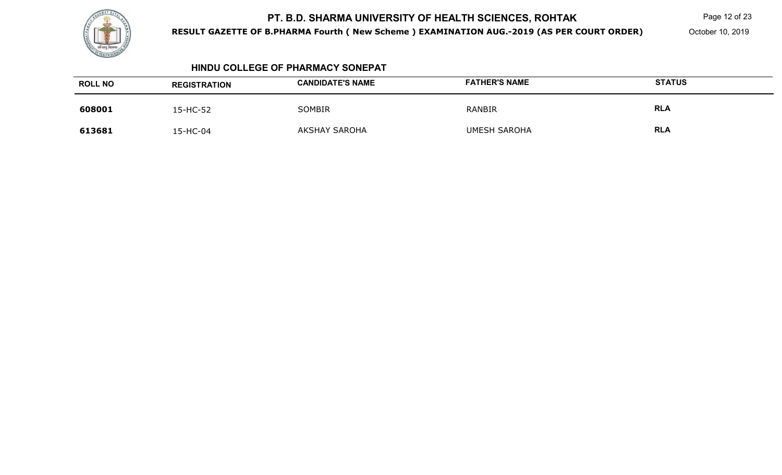

**RESULT GAZETTE OF B.PHARMA Fourth ( New Scheme ) EXAMINATION AUG.-2019 (AS PER COURT ORDER)**

Page 12 of 23

October 10, 2019

#### **HINDU COLLEGE OF PHARMACY SONEPAT**

| <b>ROLL NO</b> | <b>REGISTRATION</b> | <b>CANDIDATE'S NAME</b> | <b>FATHER'S NAME</b> | <b>STATUS</b> |
|----------------|---------------------|-------------------------|----------------------|---------------|
| 608001         | 15-HC-52            | <b>SOMBIR</b>           | <b>RANBIR</b>        | <b>RLA</b>    |
| 613681         | 15-HC-04            | <b>AKSHAY SAROHA</b>    | <b>UMESH SAROHA</b>  | <b>RLA</b>    |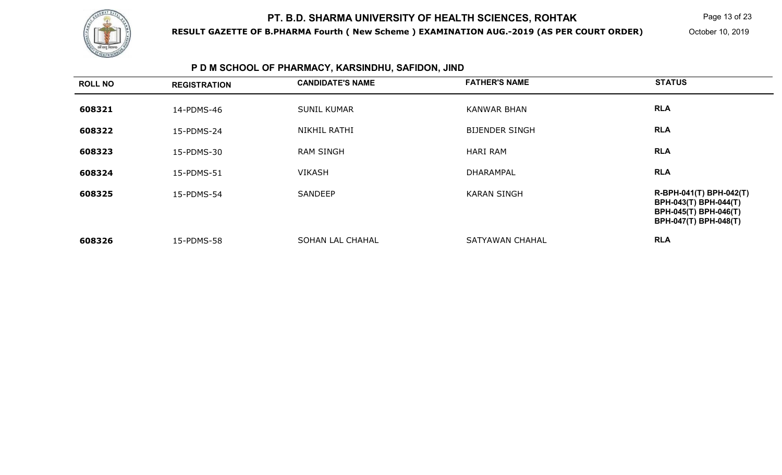

**RESULT GAZETTE OF B.PHARMA Fourth ( New Scheme ) EXAMINATION AUG.-2019 (AS PER COURT ORDER)**

Page 13 of 23

October 10, 2019

# **P D M SCHOOL OF PHARMACY, KARSINDHU, SAFIDON, JIND**

| <b>ROLL NO</b> | <b>REGISTRATION</b> | <b>CANDIDATE'S NAME</b> | <b>FATHER'S NAME</b>  | <b>STATUS</b>                                                                                      |
|----------------|---------------------|-------------------------|-----------------------|----------------------------------------------------------------------------------------------------|
| 608321         | 14-PDMS-46          | <b>SUNIL KUMAR</b>      | <b>KANWAR BHAN</b>    | <b>RLA</b>                                                                                         |
| 608322         | 15-PDMS-24          | NIKHIL RATHI            | <b>BIJENDER SINGH</b> | <b>RLA</b>                                                                                         |
| 608323         | 15-PDMS-30          | <b>RAM SINGH</b>        | <b>HARI RAM</b>       | <b>RLA</b>                                                                                         |
| 608324         | 15-PDMS-51          | <b>VIKASH</b>           | <b>DHARAMPAL</b>      | <b>RLA</b>                                                                                         |
| 608325         | 15-PDMS-54          | SANDEEP                 | <b>KARAN SINGH</b>    | R-BPH-041(T) BPH-042(T)<br>BPH-043(T) BPH-044(T)<br>BPH-045(T) BPH-046(T)<br>BPH-047(T) BPH-048(T) |
| 608326         | 15-PDMS-58          | SOHAN LAL CHAHAL        | SATYAWAN CHAHAL       | <b>RLA</b>                                                                                         |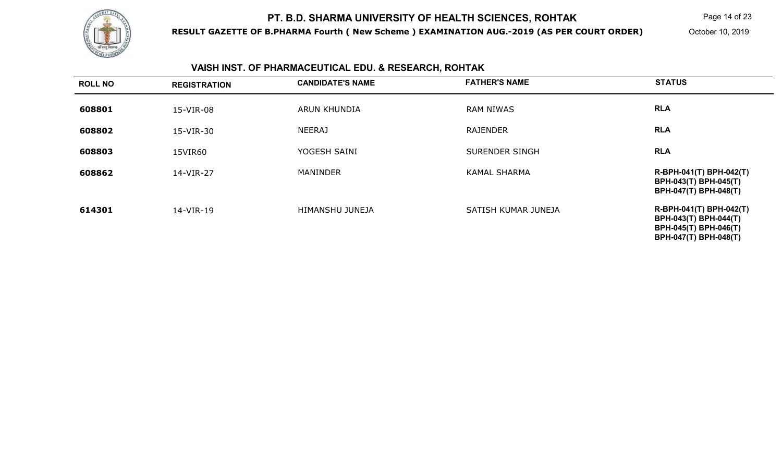

**RESULT GAZETTE OF B.PHARMA Fourth ( New Scheme ) EXAMINATION AUG.-2019 (AS PER COURT ORDER)**

Page 14 of 23

October 10, 2019

#### **VAISH INST. OF PHARMACEUTICAL EDU. & RESEARCH, ROHTAK**

| <b>ROLL NO</b> | <b>REGISTRATION</b> | <b>CANDIDATE'S NAME</b> | <b>FATHER'S NAME</b>  | <b>STATUS</b>                                                                                      |
|----------------|---------------------|-------------------------|-----------------------|----------------------------------------------------------------------------------------------------|
| 608801         | 15-VIR-08           | <b>ARUN KHUNDIA</b>     | <b>RAM NIWAS</b>      | <b>RLA</b>                                                                                         |
| 608802         | 15-VIR-30           | <b>NEERAJ</b>           | <b>RAJENDER</b>       | <b>RLA</b>                                                                                         |
| 608803         | 15VIR60             | YOGESH SAINI            | <b>SURENDER SINGH</b> | <b>RLA</b>                                                                                         |
| 608862         | 14-VIR-27           | <b>MANINDER</b>         | <b>KAMAL SHARMA</b>   | R-BPH-041(T) BPH-042(T)<br>BPH-043(T) BPH-045(T)<br>BPH-047(T) BPH-048(T)                          |
| 614301         | 14-VIR-19           | HIMANSHU JUNEJA         | SATISH KUMAR JUNEJA   | R-BPH-041(T) BPH-042(T)<br>BPH-043(T) BPH-044(T)<br>BPH-045(T) BPH-046(T)<br>BPH-047(T) BPH-048(T) |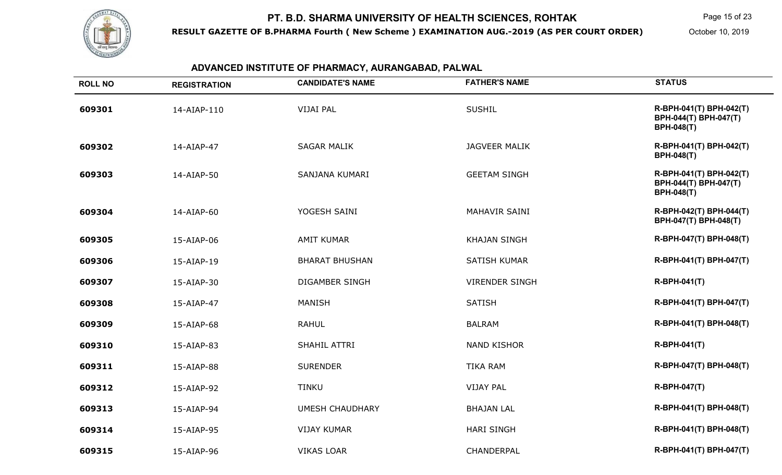

**RESULT GAZETTE OF B.PHARMA Fourth ( New Scheme ) EXAMINATION AUG.-2019 (AS PER COURT ORDER)**

Page 15 of 23

October 10, 2019

# **ADVANCED INSTITUTE OF PHARMACY, AURANGABAD, PALWAL**

| <b>ROLL NO</b> | <b>REGISTRATION</b> | <b>CANDIDATE'S NAME</b> | <b>FATHER'S NAME</b>  | <b>STATUS</b>                                                         |
|----------------|---------------------|-------------------------|-----------------------|-----------------------------------------------------------------------|
| 609301         | 14-AIAP-110         | <b>VIJAI PAL</b>        | <b>SUSHIL</b>         | R-BPH-041(T) BPH-042(T)<br>BPH-044(T) BPH-047(T)<br><b>BPH-048(T)</b> |
| 609302         | 14-AIAP-47          | <b>SAGAR MALIK</b>      | <b>JAGVEER MALIK</b>  | R-BPH-041(T) BPH-042(T)<br><b>BPH-048(T)</b>                          |
| 609303         | 14-AIAP-50          | SANJANA KUMARI          | <b>GEETAM SINGH</b>   | R-BPH-041(T) BPH-042(T)<br>BPH-044(T) BPH-047(T)<br><b>BPH-048(T)</b> |
| 609304         | 14-AIAP-60          | YOGESH SAINI            | MAHAVIR SAINI         | R-BPH-042(T) BPH-044(T)<br>BPH-047(T) BPH-048(T)                      |
| 609305         | 15-AIAP-06          | <b>AMIT KUMAR</b>       | <b>KHAJAN SINGH</b>   | R-BPH-047(T) BPH-048(T)                                               |
| 609306         | 15-AIAP-19          | <b>BHARAT BHUSHAN</b>   | <b>SATISH KUMAR</b>   | R-BPH-041(T) BPH-047(T)                                               |
| 609307         | 15-AIAP-30          | <b>DIGAMBER SINGH</b>   | <b>VIRENDER SINGH</b> | <b>R-BPH-041(T)</b>                                                   |
| 609308         | 15-AIAP-47          | <b>MANISH</b>           | <b>SATISH</b>         | R-BPH-041(T) BPH-047(T)                                               |
| 609309         | 15-AIAP-68          | <b>RAHUL</b>            | <b>BALRAM</b>         | R-BPH-041(T) BPH-048(T)                                               |
| 609310         | 15-AIAP-83          | SHAHIL ATTRI            | <b>NAND KISHOR</b>    | <b>R-BPH-041(T)</b>                                                   |
| 609311         | 15-AIAP-88          | <b>SURENDER</b>         | <b>TIKA RAM</b>       | R-BPH-047(T) BPH-048(T)                                               |
| 609312         | 15-AIAP-92          | <b>TINKU</b>            | <b>VIJAY PAL</b>      | <b>R-BPH-047(T)</b>                                                   |
| 609313         | 15-AIAP-94          | <b>UMESH CHAUDHARY</b>  | <b>BHAJAN LAL</b>     | R-BPH-041(T) BPH-048(T)                                               |
| 609314         | 15-AIAP-95          | <b>VIJAY KUMAR</b>      | <b>HARI SINGH</b>     | R-BPH-041(T) BPH-048(T)                                               |
| 609315         | 15-AIAP-96          | <b>VIKAS LOAR</b>       | CHANDERPAL            | R-BPH-041(T) BPH-047(T)                                               |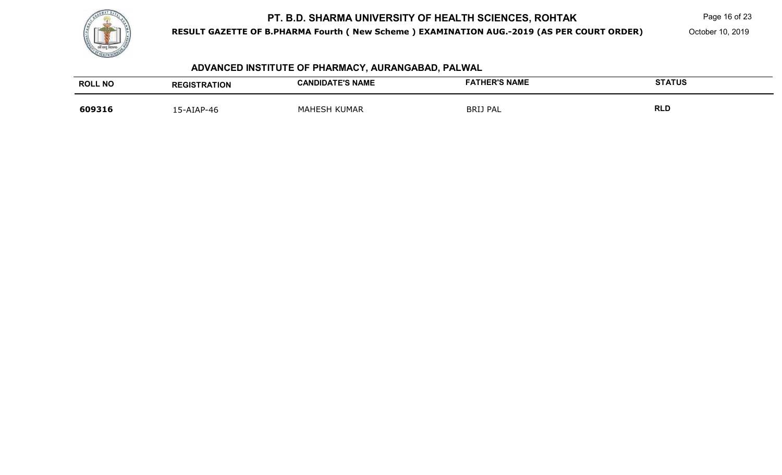

**RESULT GAZETTE OF B.PHARMA Fourth ( New Scheme ) EXAMINATION AUG.-2019 (AS PER COURT ORDER)**

Page 16 of 23

October 10, 2019

# **ADVANCED INSTITUTE OF PHARMACY, AURANGABAD, PALWAL**

| <b>ROLL NO</b> | <b>REGISTRATION</b> | <b>CANDIDATE'S NAME</b> | <b>FATHER'S NAME</b> | <b>STATUS</b> |
|----------------|---------------------|-------------------------|----------------------|---------------|
| 609316         | 15-AIAP-46          | MAHESH KUMAR            | <b>BRIJ PAL</b>      | RLD           |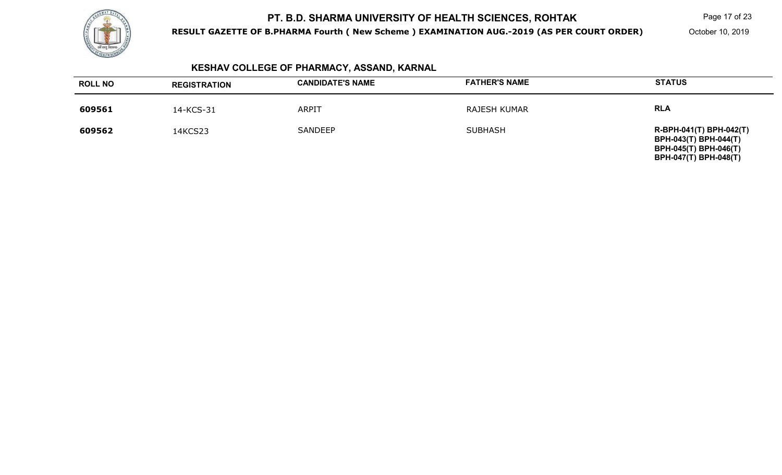

**RESULT GAZETTE OF B.PHARMA Fourth ( New Scheme ) EXAMINATION AUG.-2019 (AS PER COURT ORDER)**

Page 17 of 23

October 10, 2019

# **KESHAV COLLEGE OF PHARMACY, ASSAND, KARNAL**

| <b>ROLL NO</b> | <b>REGISTRATION</b> | <b>CANDIDATE'S NAME</b> | <b>FATHER'S NAME</b> | <b>STATUS</b>                                                                                                           |
|----------------|---------------------|-------------------------|----------------------|-------------------------------------------------------------------------------------------------------------------------|
| 609561         | 14-KCS-31           | <b>ARPIT</b>            | <b>RAJESH KUMAR</b>  | <b>RLA</b>                                                                                                              |
| 609562         | 14KCS23             | <b>SANDEEP</b>          | <b>SUBHASH</b>       | R-BPH-041(T) BPH-042(T)<br><b>BPH-043(T) BPH-044(T)</b><br><b>BPH-045(T) BPH-046(T)</b><br><b>BPH-047(T) BPH-048(T)</b> |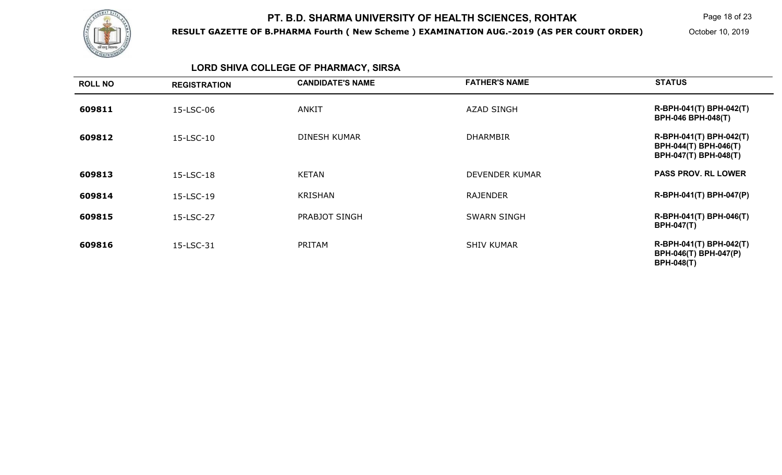

**RESULT GAZETTE OF B.PHARMA Fourth ( New Scheme ) EXAMINATION AUG.-2019 (AS PER COURT ORDER)**

Page 18 of 23

October 10, 2019

# **LORD SHIVA COLLEGE OF PHARMACY, SIRSA**

| <b>ROLL NO</b> | <b>REGISTRATION</b> | <b>CANDIDATE'S NAME</b> | <b>FATHER'S NAME</b>  | <b>STATUS</b>                                                             |
|----------------|---------------------|-------------------------|-----------------------|---------------------------------------------------------------------------|
| 609811         | 15-LSC-06           | <b>ANKIT</b>            | <b>AZAD SINGH</b>     | R-BPH-041(T) BPH-042(T)<br><b>BPH-046 BPH-048(T)</b>                      |
| 609812         | 15-LSC-10           | DINESH KUMAR            | <b>DHARMBIR</b>       | R-BPH-041(T) BPH-042(T)<br>BPH-044(T) BPH-046(T)<br>BPH-047(T) BPH-048(T) |
| 609813         | 15-LSC-18           | <b>KETAN</b>            | <b>DEVENDER KUMAR</b> | <b>PASS PROV. RL LOWER</b>                                                |
| 609814         | 15-LSC-19           | <b>KRISHAN</b>          | <b>RAJENDER</b>       | R-BPH-041(T) BPH-047(P)                                                   |
| 609815         | 15-LSC-27           | PRABJOT SINGH           | <b>SWARN SINGH</b>    | R-BPH-041(T) BPH-046(T)<br><b>BPH-047(T)</b>                              |
| 609816         | 15-LSC-31           | PRITAM                  | <b>SHIV KUMAR</b>     | R-BPH-041(T) BPH-042(T)<br>BPH-046(T) BPH-047(P)<br><b>BPH-048(T)</b>     |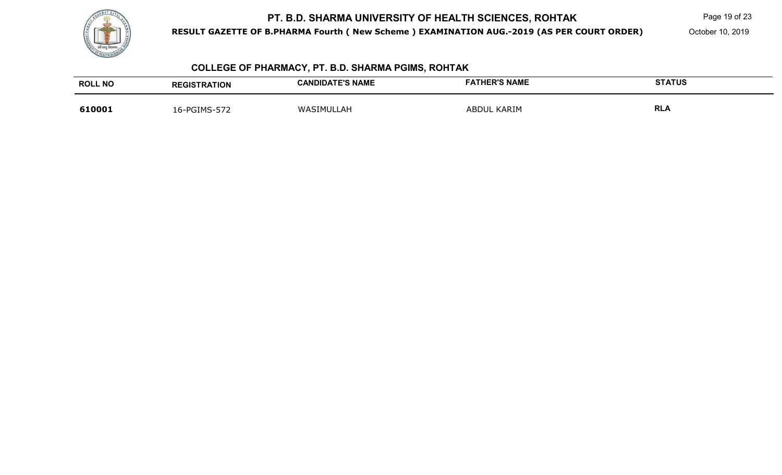

**RESULT GAZETTE OF B.PHARMA Fourth ( New Scheme ) EXAMINATION AUG.-2019 (AS PER COURT ORDER)**

Page 19 of 23

October 10, 2019

# **COLLEGE OF PHARMACY, PT. B.D. SHARMA PGIMS, ROHTAK**

| <b>ROLL NO</b> | <b>REGISTRATION</b> | <b>CANDIDATE'S NAME</b> | <b>FATHER'S NAME</b> | <b>STATUS</b> |
|----------------|---------------------|-------------------------|----------------------|---------------|
| 610001         | 16-PGIMS-572        | WASIMU<br>.ULLAH        | ABDUL KARIM          | <b>RLA</b>    |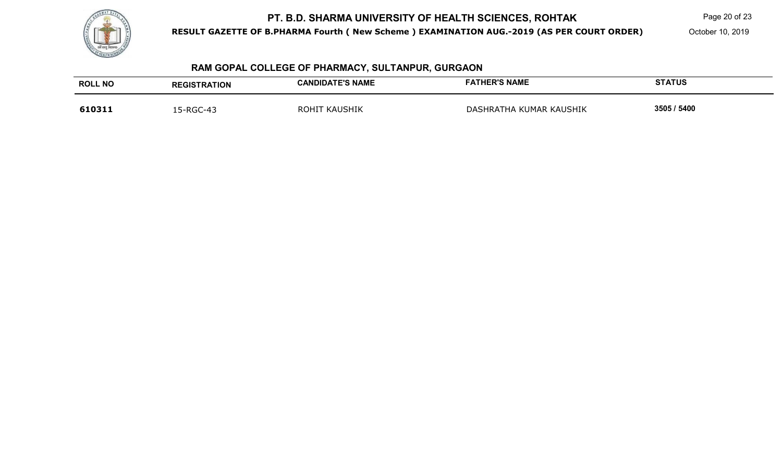

**RESULT GAZETTE OF B.PHARMA Fourth ( New Scheme ) EXAMINATION AUG.-2019 (AS PER COURT ORDER)**

Page 20 of 23

October 10, 2019

# **RAM GOPAL COLLEGE OF PHARMACY, SULTANPUR, GURGAON**

| <b>ROLL NO</b> | <b>REGISTRATION</b> | <b>CANDIDATE'S NAME</b> | <b>FATHER'S NAME</b>    | <b>STATUS</b> |
|----------------|---------------------|-------------------------|-------------------------|---------------|
| 610311         | 15-RGC-43           | <b>KAUSHIK</b><br>ROHIT | DASHRATHA KUMAR KAUSHIK | 3505 / 5400   |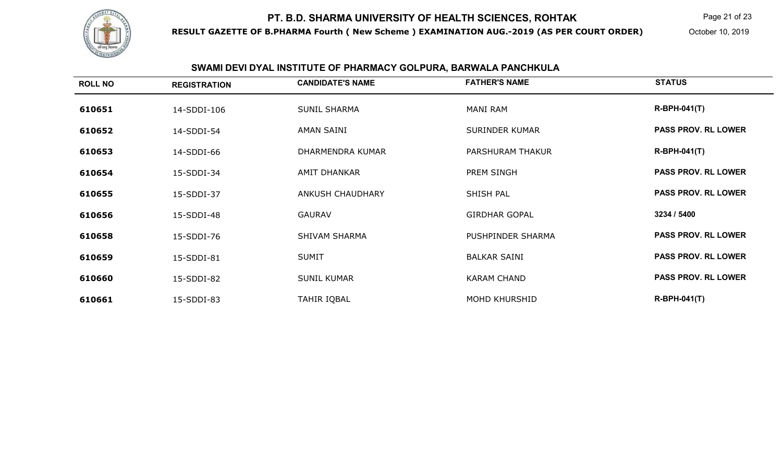

**RESULT GAZETTE OF B.PHARMA Fourth ( New Scheme ) EXAMINATION AUG.-2019 (AS PER COURT ORDER)**

Page 21 of 23

October 10, 2019

# **SWAMI DEVI DYAL INSTITUTE OF PHARMACY GOLPURA, BARWALA PANCHKULA**

| <b>ROLL NO</b> | <b>REGISTRATION</b> | <b>CANDIDATE'S NAME</b> | <b>FATHER'S NAME</b>  | <b>STATUS</b>              |
|----------------|---------------------|-------------------------|-----------------------|----------------------------|
| 610651         | 14-SDDI-106         | <b>SUNIL SHARMA</b>     | MANI RAM              | $R-BPH-041(T)$             |
| 610652         | 14-SDDI-54          | AMAN SAINI              | <b>SURINDER KUMAR</b> | <b>PASS PROV. RL LOWER</b> |
| 610653         | 14-SDDI-66          | DHARMENDRA KUMAR        | PARSHURAM THAKUR      | $R-BPH-041(T)$             |
| 610654         | 15-SDDI-34          | <b>AMIT DHANKAR</b>     | PREM SINGH            | <b>PASS PROV. RL LOWER</b> |
| 610655         | 15-SDDI-37          | <b>ANKUSH CHAUDHARY</b> | SHISH PAL             | <b>PASS PROV. RL LOWER</b> |
| 610656         | 15-SDDI-48          | <b>GAURAV</b>           | <b>GIRDHAR GOPAL</b>  | 3234 / 5400                |
| 610658         | 15-SDDI-76          | <b>SHIVAM SHARMA</b>    | PUSHPINDER SHARMA     | <b>PASS PROV. RL LOWER</b> |
| 610659         | 15-SDDI-81          | <b>SUMIT</b>            | <b>BALKAR SAINI</b>   | <b>PASS PROV. RL LOWER</b> |
| 610660         | 15-SDDI-82          | <b>SUNIL KUMAR</b>      | <b>KARAM CHAND</b>    | <b>PASS PROV. RL LOWER</b> |
| 610661         | 15-SDDI-83          | TAHIR IQBAL             | <b>MOHD KHURSHID</b>  | <b>R-BPH-041(T)</b>        |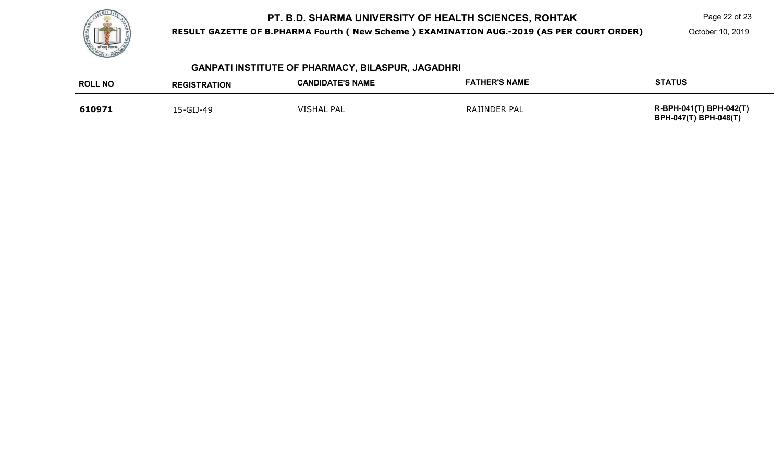

**RESULT GAZETTE OF B.PHARMA Fourth ( New Scheme ) EXAMINATION AUG.-2019 (AS PER COURT ORDER)**

Page 22 of 23

October 10, 2019

**BPH-047(T) BPH-048(T)** 

| <b>GANPATI INSTITUTE OF PHARMACY, BILASPUR, JAGADHRI</b> |                     |                         |                      |                                                      |
|----------------------------------------------------------|---------------------|-------------------------|----------------------|------------------------------------------------------|
| <b>ROLL NO</b>                                           | <b>REGISTRATION</b> | <b>CANDIDATE'S NAME</b> | <b>FATHER'S NAME</b> | <b>STATUS</b>                                        |
| 610971                                                   | 15-GIJ-49           | <b>VISHAL PAL</b>       | RAJINDER PAL         | R-BPH-041(T) BPH-042(T)<br>$DDU$ $A7/T$ $DDU$ $A0/T$ |